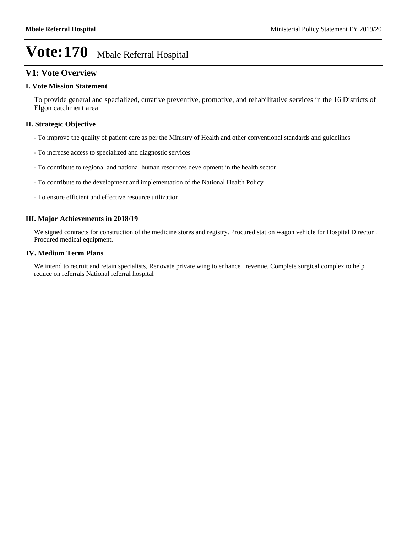# **V1: Vote Overview**

#### **I. Vote Mission Statement**

To provide general and specialized, curative preventive, promotive, and rehabilitative services in the 16 Districts of Elgon catchment area

# **II. Strategic Objective**

- To improve the quality of patient care as per the Ministry of Health and other conventional standards and guidelines
- To increase access to specialized and diagnostic services
- To contribute to regional and national human resources development in the health sector
- To contribute to the development and implementation of the National Health Policy
- To ensure efficient and effective resource utilization

## **III. Major Achievements in 2018/19**

We signed contracts for construction of the medicine stores and registry. Procured station wagon vehicle for Hospital Director . Procured medical equipment.

#### **IV. Medium Term Plans**

We intend to recruit and retain specialists, Renovate private wing to enhance revenue. Complete surgical complex to help reduce on referrals National referral hospital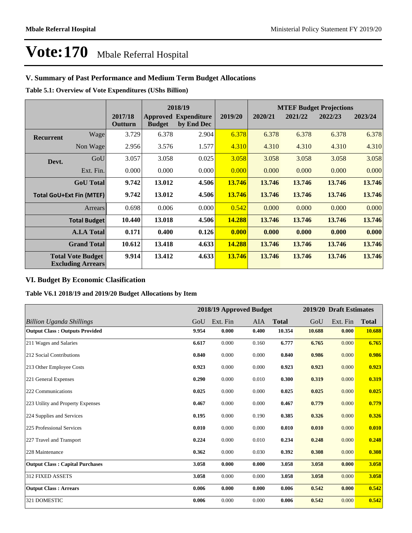# **V. Summary of Past Performance and Medium Term Budget Allocations**

**Table 5.1: Overview of Vote Expenditures (UShs Billion)**

|                  |                                                      |                    |               | 2018/19                                   |         |         | <b>MTEF Budget Projections</b> |         |         |  |
|------------------|------------------------------------------------------|--------------------|---------------|-------------------------------------------|---------|---------|--------------------------------|---------|---------|--|
|                  |                                                      | 2017/18<br>Outturn | <b>Budget</b> | <b>Approved Expenditure</b><br>by End Dec | 2019/20 | 2020/21 | 2021/22                        | 2022/23 | 2023/24 |  |
| <b>Recurrent</b> | Wage                                                 | 3.729              | 6.378         | 2.904                                     | 6.378   | 6.378   | 6.378                          | 6.378   | 6.378   |  |
|                  | Non Wage                                             | 2.956              | 3.576         | 1.577                                     | 4.310   | 4.310   | 4.310                          | 4.310   | 4.310   |  |
| Devt.            | GoU                                                  | 3.057              | 3.058         | 0.025                                     | 3.058   | 3.058   | 3.058                          | 3.058   | 3.058   |  |
|                  | Ext. Fin.                                            | 0.000              | 0.000         | 0.000                                     | 0.000   | 0.000   | 0.000                          | 0.000   | 0.000   |  |
|                  | <b>GoU</b> Total                                     | 9.742              | 13.012        | 4.506                                     | 13.746  | 13.746  | 13.746                         | 13.746  | 13.746  |  |
|                  | <b>Total GoU+Ext Fin (MTEF)</b>                      | 9.742              | 13.012        | 4.506                                     | 13.746  | 13.746  | 13.746                         | 13.746  | 13.746  |  |
|                  | Arrears                                              | 0.698              | 0.006         | 0.000                                     | 0.542   | 0.000   | 0.000                          | 0.000   | 0.000   |  |
|                  | <b>Total Budget</b>                                  | 10.440             | 13.018        | 4.506                                     | 14.288  | 13.746  | 13.746                         | 13.746  | 13.746  |  |
|                  | <b>A.I.A Total</b>                                   | 0.171              | 0.400         | 0.126                                     | 0.000   | 0.000   | 0.000                          | 0.000   | 0.000   |  |
|                  | <b>Grand Total</b>                                   | 10.612             | 13.418        | 4.633                                     | 14.288  | 13.746  | 13.746                         | 13.746  | 13.746  |  |
|                  | <b>Total Vote Budget</b><br><b>Excluding Arrears</b> | 9.914              | 13.412        | 4.633                                     | 13.746  | 13.746  | 13.746                         | 13.746  | 13.746  |  |

# **VI. Budget By Economic Clasification**

**Table V6.1 2018/19 and 2019/20 Budget Allocations by Item**

|                                        |       | 2018/19 Approved Budget |            |              |        | 2019/20 Draft Estimates |              |
|----------------------------------------|-------|-------------------------|------------|--------------|--------|-------------------------|--------------|
| Billion Uganda Shillings               | GoU   | Ext. Fin                | <b>AIA</b> | <b>Total</b> | GoU    | Ext. Fin                | <b>Total</b> |
| <b>Output Class: Outputs Provided</b>  | 9.954 | 0.000                   | 0.400      | 10.354       | 10.688 | 0.000                   | 10.688       |
| 211 Wages and Salaries                 | 6.617 | 0.000                   | 0.160      | 6.777        | 6.765  | 0.000                   | 6.765        |
| 212 Social Contributions               | 0.840 | 0.000                   | 0.000      | 0.840        | 0.986  | 0.000                   | 0.986        |
| 213 Other Employee Costs               | 0.923 | 0.000                   | 0.000      | 0.923        | 0.923  | 0.000                   | 0.923        |
| 221 General Expenses                   | 0.290 | 0.000                   | 0.010      | 0.300        | 0.319  | 0.000                   | 0.319        |
| 222 Communications                     | 0.025 | 0.000                   | 0.000      | 0.025        | 0.025  | 0.000                   | 0.025        |
| 223 Utility and Property Expenses      | 0.467 | 0.000                   | 0.000      | 0.467        | 0.779  | 0.000                   | 0.779        |
| 224 Supplies and Services              | 0.195 | 0.000                   | 0.190      | 0.385        | 0.326  | 0.000                   | 0.326        |
| 225 Professional Services              | 0.010 | 0.000                   | 0.000      | 0.010        | 0.010  | 0.000                   | 0.010        |
| 227 Travel and Transport               | 0.224 | 0.000                   | 0.010      | 0.234        | 0.248  | 0.000                   | 0.248        |
| 228 Maintenance                        | 0.362 | 0.000                   | 0.030      | 0.392        | 0.308  | 0.000                   | 0.308        |
| <b>Output Class: Capital Purchases</b> | 3.058 | 0.000                   | 0.000      | 3.058        | 3.058  | 0.000                   | 3.058        |
| <b>312 FIXED ASSETS</b>                | 3.058 | 0.000                   | 0.000      | 3.058        | 3.058  | 0.000                   | 3.058        |
| <b>Output Class: Arrears</b>           | 0.006 | 0.000                   | 0.000      | 0.006        | 0.542  | 0.000                   | 0.542        |
| 321 DOMESTIC                           | 0.006 | 0.000                   | 0.000      | 0.006        | 0.542  | 0.000                   | 0.542        |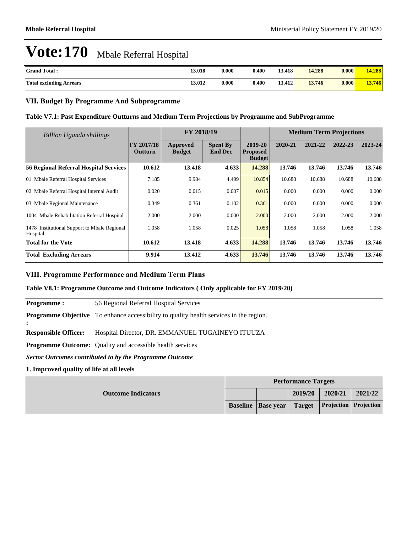| <b>Grand Total:</b>            | 13.018 | 0.000 | 0.400 | 13.418 | 14.288 | 0.000 | 14.288 |
|--------------------------------|--------|-------|-------|--------|--------|-------|--------|
| <b>Total excluding Arrears</b> | 13.012 | 0.000 | 0.400 | 13.412 | 13.746 | 0.000 | 13.746 |

# **VII. Budget By Programme And Subprogramme**

## **Table V7.1: Past Expenditure Outturns and Medium Term Projections by Programme and SubProgramme**

| Billion Uganda shillings                                 |                       | FY 2018/19                |                                   |                                             | <b>Medium Term Projections</b> |         |         |         |
|----------------------------------------------------------|-----------------------|---------------------------|-----------------------------------|---------------------------------------------|--------------------------------|---------|---------|---------|
|                                                          | FY 2017/18<br>Outturn | Approved<br><b>Budget</b> | <b>Spent By</b><br><b>End Dec</b> | 2019-20<br><b>Proposed</b><br><b>Budget</b> | 2020-21                        | 2021-22 | 2022-23 | 2023-24 |
| 56 Regional Referral Hospital Services                   | 10.612                | 13.418                    | 4.633                             | 14.288                                      | 13.746                         | 13.746  | 13.746  | 13.746  |
| 01 Mbale Referral Hospital Services                      | 7.185                 | 9.984                     | 4.499                             | 10.854                                      | 10.688                         | 10.688  | 10.688  | 10.688  |
| 02 Mbale Referral Hospital Internal Audit                | 0.020                 | 0.015                     | 0.007                             | 0.015                                       | 0.000                          | 0.000   | 0.000   | 0.000   |
| 03 Mbale Regional Maintenance                            | 0.349                 | 0.361                     | 0.102                             | 0.361                                       | 0.000                          | 0.000   | 0.000   | 0.000   |
| 1004 Mbale Rehabilitation Referral Hospital              | 2.000                 | 2.000                     | 0.000                             | 2.000                                       | 2.000                          | 2.000   | 2.000   | 2.000   |
| 1478 Institutional Support to Mbale Regional<br>Hospital | 1.058                 | 1.058                     | 0.025                             | 1.058                                       | 1.058                          | 1.058   | 1.058   | 1.058   |
| <b>Total for the Vote</b>                                | 10.612                | 13.418                    | 4.633                             | 14.288                                      | 13.746                         | 13.746  | 13.746  | 13.746  |
| <b>Total Excluding Arrears</b>                           | 9.914                 | 13.412                    | 4.633                             | 13.746                                      | 13.746                         | 13.746  | 13.746  | 13.746  |

### **VIII. Programme Performance and Medium Term Plans**

#### **Table V8.1: Programme Outcome and Outcome Indicators ( Only applicable for FY 2019/20)**

| <b>Programme:</b>                                                  | 56 Regional Referral Hospital Services                                                        |  |  |                            |         |            |  |  |
|--------------------------------------------------------------------|-----------------------------------------------------------------------------------------------|--|--|----------------------------|---------|------------|--|--|
| :                                                                  | <b>Programme Objective</b> To enhance accessibility to quality health services in the region. |  |  |                            |         |            |  |  |
| <b>Responsible Officer:</b>                                        | Hospital Director, DR. EMMANUEL TUGAINEYO ITUUZA                                              |  |  |                            |         |            |  |  |
|                                                                    | <b>Programme Outcome:</b> Quality and accessible health services                              |  |  |                            |         |            |  |  |
|                                                                    | Sector Outcomes contributed to by the Programme Outcome                                       |  |  |                            |         |            |  |  |
| 1. Improved quality of life at all levels                          |                                                                                               |  |  |                            |         |            |  |  |
|                                                                    |                                                                                               |  |  | <b>Performance Targets</b> |         |            |  |  |
| <b>Outcome Indicators</b>                                          |                                                                                               |  |  | 2019/20                    | 2020/21 | 2021/22    |  |  |
| Projection<br><b>Baseline</b><br><b>Target</b><br><b>Base year</b> |                                                                                               |  |  |                            |         | Projection |  |  |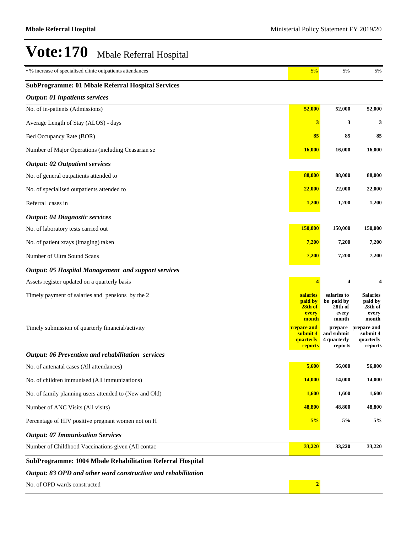| • % increase of specialised clinic outpatients attendances    | 5%                                                                              | 5%                                                                | 5%                                                                |
|---------------------------------------------------------------|---------------------------------------------------------------------------------|-------------------------------------------------------------------|-------------------------------------------------------------------|
| <b>SubProgramme: 01 Mbale Referral Hospital Services</b>      |                                                                                 |                                                                   |                                                                   |
| <b>Output: 01 inpatients services</b>                         |                                                                                 |                                                                   |                                                                   |
| No. of in-patients (Admissions)                               | 52,000                                                                          | 52,000                                                            | 52,000                                                            |
| Average Length of Stay (ALOS) - days                          | 3                                                                               | 3                                                                 | 3                                                                 |
| Bed Occupancy Rate (BOR)                                      | 85                                                                              | 85                                                                | 85                                                                |
| Number of Major Operations (including Ceasarian se            | <b>16,000</b>                                                                   | 16,000                                                            | 16,000                                                            |
| <b>Output: 02 Outpatient services</b>                         |                                                                                 |                                                                   |                                                                   |
| No. of general outpatients attended to                        | 88,000                                                                          | 88,000                                                            | 88,000                                                            |
| No. of specialised outpatients attended to                    | 22,000                                                                          | 22,000                                                            | 22,000                                                            |
| Referral cases in                                             | 1,200                                                                           | 1,200                                                             | 1,200                                                             |
| <b>Output: 04 Diagnostic services</b>                         |                                                                                 |                                                                   |                                                                   |
| No. of laboratory tests carried out                           | 150,000                                                                         | 150,000                                                           | 150,000                                                           |
| No. of patient xrays (imaging) taken                          | 7,200                                                                           | 7,200                                                             | 7,200                                                             |
| Number of Ultra Sound Scans                                   | 7,200                                                                           | 7,200                                                             | 7,200                                                             |
| <b>Output: 05 Hospital Management and support services</b>    |                                                                                 |                                                                   |                                                                   |
| Assets register updated on a quarterly basis                  | $\overline{\mathbf{4}}$                                                         | 4                                                                 |                                                                   |
| Timely payment of salaries and pensions by the 2              | salaries<br>paid by<br>28th of                                                  | salaries to<br>be paid by<br>28th of                              | Salaries<br>paid by<br>28th of                                    |
| Timely submission of quarterly financial/activity             | every<br>month<br><b>prepare and</b><br>submit 4<br><b>quarterly</b><br>reports | every<br>month<br>prepare<br>and submit<br>4 quarterly<br>reports | every<br>month<br>prepare and<br>submit 4<br>quarterly<br>reports |
| <b>Output: 06 Prevention and rehabilitation services</b>      |                                                                                 |                                                                   |                                                                   |
| No. of antenatal cases (All attendances)                      | 5,600                                                                           | 56,000                                                            | 56,000                                                            |
| No. of children immunised (All immunizations)                 | 14,000                                                                          | 14,000                                                            | 14,000                                                            |
| No. of family planning users attended to (New and Old)        | 1,600                                                                           | 1,600                                                             | 1,600                                                             |
| Number of ANC Visits (All visits)                             | 48,800                                                                          | 48,800                                                            | 48,800                                                            |
| Percentage of HIV positive pregnant women not on H            | 5%                                                                              | 5%                                                                | 5%                                                                |
| <b>Output: 07 Immunisation Services</b>                       |                                                                                 |                                                                   |                                                                   |
| Number of Childhood Vaccinations given (All contac            | 33,220                                                                          | 33,220                                                            | 33,220                                                            |
| SubProgramme: 1004 Mbale Rehabilitation Referral Hospital     |                                                                                 |                                                                   |                                                                   |
| Output: 83 OPD and other ward construction and rehabilitation |                                                                                 |                                                                   |                                                                   |
| No. of OPD wards constructed                                  | $\overline{2}$                                                                  |                                                                   |                                                                   |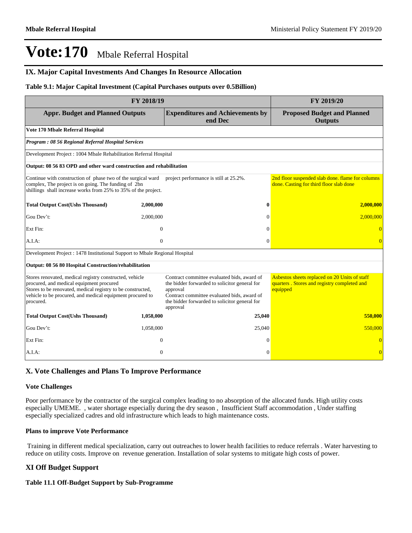## **IX. Major Capital Investments And Changes In Resource Allocation**

#### **Table 9.1: Major Capital Investment (Capital Purchases outputs over 0.5Billion)**

| FY 2018/19                                                                                                                                                                                                                                   | FY 2019/20     |                                                                                                                                                                                                                      |                                                                                                          |  |  |
|----------------------------------------------------------------------------------------------------------------------------------------------------------------------------------------------------------------------------------------------|----------------|----------------------------------------------------------------------------------------------------------------------------------------------------------------------------------------------------------------------|----------------------------------------------------------------------------------------------------------|--|--|
| <b>Appr. Budget and Planned Outputs</b>                                                                                                                                                                                                      |                | <b>Expenditures and Achievements by</b><br>end Dec                                                                                                                                                                   | <b>Proposed Budget and Planned</b><br><b>Outputs</b>                                                     |  |  |
| Vote 170 Mbale Referral Hospital                                                                                                                                                                                                             |                |                                                                                                                                                                                                                      |                                                                                                          |  |  |
| Program: 08 56 Regional Referral Hospital Services                                                                                                                                                                                           |                |                                                                                                                                                                                                                      |                                                                                                          |  |  |
| Development Project: 1004 Mbale Rehabilitation Referral Hospital                                                                                                                                                                             |                |                                                                                                                                                                                                                      |                                                                                                          |  |  |
| Output: 08 56 83 OPD and other ward construction and rehabilitation                                                                                                                                                                          |                |                                                                                                                                                                                                                      |                                                                                                          |  |  |
| Continue with construction of phase two of the surgical ward project performance is still at 25.2%.<br>complex, The project is on going. The funding of 2bn<br>shillings shall increase works from 25% to 35% of the project.                |                |                                                                                                                                                                                                                      | 2nd floor suspended slab done. flame for columns<br>done. Casting for third floor slab done              |  |  |
| <b>Total Output Cost(Ushs Thousand)</b>                                                                                                                                                                                                      | 2,000,000      | $\bf{0}$                                                                                                                                                                                                             | 2,000,000                                                                                                |  |  |
| Gou Dev't:                                                                                                                                                                                                                                   | 2,000,000      | $\Omega$                                                                                                                                                                                                             | 2,000,000                                                                                                |  |  |
| Ext Fin:                                                                                                                                                                                                                                     | $\overline{0}$ | $\Omega$                                                                                                                                                                                                             |                                                                                                          |  |  |
| A.I.A:                                                                                                                                                                                                                                       | $\mathbf{0}$   | $\Omega$                                                                                                                                                                                                             | $\overline{0}$                                                                                           |  |  |
| Development Project : 1478 Institutional Support to Mbale Regional Hospital                                                                                                                                                                  |                |                                                                                                                                                                                                                      |                                                                                                          |  |  |
| Output: 08 56 80 Hospital Construction/rehabilitation                                                                                                                                                                                        |                |                                                                                                                                                                                                                      |                                                                                                          |  |  |
| Stores renovated, medical registry constructed, vehicle<br>procured, and medical equipment procured<br>Stores to be renovated, medical registry to be constructed,<br>vehicle to be procured, and medical equipment procured to<br>procured. |                | Contract committee evaluated bids, award of<br>the bidder forwarded to solicitor general for<br>approval<br>Contract committee evaluated bids, award of<br>the bidder forwarded to solicitor general for<br>approval | Asbestos sheets replaced on 20 Units of staff<br>quarters. Stores and registry completed and<br>equipped |  |  |
| <b>Total Output Cost(Ushs Thousand)</b>                                                                                                                                                                                                      | 1,058,000      | 25,040                                                                                                                                                                                                               | 550,000                                                                                                  |  |  |
| Gou Dev't:                                                                                                                                                                                                                                   | 1,058,000      | 25,040                                                                                                                                                                                                               | 550,000                                                                                                  |  |  |
| Ext Fin:                                                                                                                                                                                                                                     | $\theta$       | $\Omega$                                                                                                                                                                                                             |                                                                                                          |  |  |
| A.I.A.                                                                                                                                                                                                                                       | $\theta$       | $\Omega$                                                                                                                                                                                                             | $\overline{0}$                                                                                           |  |  |

#### **X. Vote Challenges and Plans To Improve Performance**

#### **Vote Challenges**

Poor performance by the contractor of the surgical complex leading to no absorption of the allocated funds. High utility costs especially UMEME. , water shortage especially during the dry season , Insufficient Staff accommodation , Under staffing especially specialized cadres and old infrastructure which leads to high maintenance costs.

#### **Plans to improve Vote Performance**

 Training in different medical specialization, carry out outreaches to lower health facilities to reduce referrals . Water harvesting to reduce on utility costs. Improve on revenue generation. Installation of solar systems to mitigate high costs of power.

#### **XI Off Budget Support**

#### **Table 11.1 Off-Budget Support by Sub-Programme**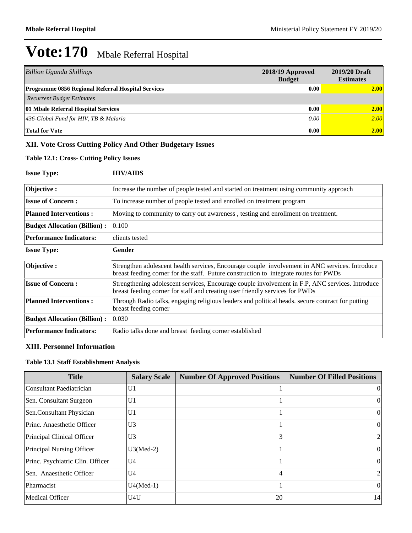| Billion Uganda Shillings                                  | 2018/19 Approved<br><b>Budget</b> | 2019/20 Draft<br><b>Estimates</b> |
|-----------------------------------------------------------|-----------------------------------|-----------------------------------|
| <b>Programme 0856 Regional Referral Hospital Services</b> | 0.00                              | 2.00                              |
| <b>Recurrent Budget Estimates</b>                         |                                   |                                   |
| 01 Mbale Referral Hospital Services                       | 0.00                              | 2.00                              |
| $ 436\text{-}Global Fund$ for HIV, TB & Malaria           | 0.00                              | 2.00                              |
| <b>Total for Vote</b>                                     | 0.00                              | 2.00                              |

# **XII. Vote Cross Cutting Policy And Other Budgetary Issues**

### **Table 12.1: Cross- Cutting Policy Issues**

| <b>Issue Type:</b>                  | <b>HIV/AIDS</b>                                                                                                                                                                         |
|-------------------------------------|-----------------------------------------------------------------------------------------------------------------------------------------------------------------------------------------|
| Objective:                          | Increase the number of people tested and started on treatment using community approach                                                                                                  |
| <b>Issue of Concern:</b>            | To increase number of people tested and enrolled on treatment program                                                                                                                   |
| <b>Planned Interventions:</b>       | Moving to community to carry out awareness, testing and enrollment on treatment.                                                                                                        |
| <b>Budget Allocation (Billion):</b> | 0.100                                                                                                                                                                                   |
| <b>Performance Indicators:</b>      | clients tested                                                                                                                                                                          |
| <b>Issue Type:</b>                  | Gender                                                                                                                                                                                  |
| Objective:                          | Strengthen adolescent health services, Encourage couple involvement in ANC services. Introduce<br>breast feeding corner for the staff. Future construction to integrate routes for PWDs |
| <b>Issue of Concern:</b>            | Strengthening adolescent services, Encourage couple involvement in F.P, ANC services. Introduce<br>breast feeding corner for staff and creating user friendly services for PWDs         |
| <b>Planned Interventions:</b>       | Through Radio talks, engaging religious leaders and political heads, secure contract for putting<br>breast feeding corner                                                               |
| <b>Budget Allocation (Billion):</b> | 0.030                                                                                                                                                                                   |
| <b>Performance Indicators:</b>      | Radio talks done and breast feeding corner established                                                                                                                                  |

## **XIII. Personnel Information**

#### **Table 13.1 Staff Establishment Analysis**

| <b>Title</b>                     | <b>Salary Scale</b> | <b>Number Of Approved Positions</b> | <b>Number Of Filled Positions</b> |
|----------------------------------|---------------------|-------------------------------------|-----------------------------------|
| Consultant Paediatrician         | U <sub>1</sub>      |                                     | $\overline{0}$                    |
| Sen. Consultant Surgeon          | U <sub>1</sub>      |                                     | $\theta$                          |
| Sen.Consultant Physician         | U1                  |                                     | $\bf{0}$                          |
| Princ. Anaesthetic Officer       | U <sub>3</sub>      |                                     | $\left($                          |
| Principal Clinical Officer       | U <sub>3</sub>      |                                     | $\overline{2}$                    |
| Principal Nursing Officer        | $U3(Med-2)$         |                                     | $\Omega$                          |
| Princ. Psychiatric Clin. Officer | U <sub>4</sub>      |                                     | $\theta$                          |
| Sen. Anaesthetic Officer         | U <sub>4</sub>      |                                     | $\overline{2}$                    |
| Pharmacist                       | $U4(Med-1)$         |                                     | $\theta$                          |
| Medical Officer                  | U4U                 | 20                                  | 14                                |